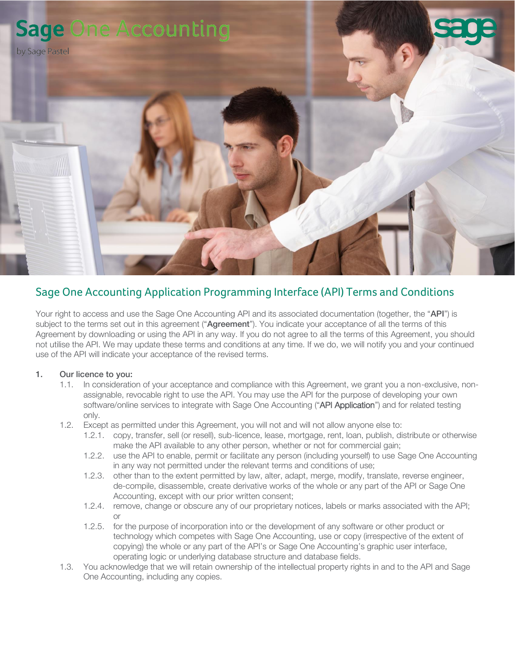

# Sage One Accounting Application Programming Interface (API) Terms and Conditions

Your right to access and use the Sage One Accounting API and its associated documentation (together, the "API") is subject to the terms set out in this agreement ("Agreement"). You indicate your acceptance of all the terms of this Agreement by downloading or using the API in any way. If you do not agree to all the terms of this Agreement, you should not utilise the API. We may update these terms and conditions at any time. If we do, we will notify you and your continued use of the API will indicate your acceptance of the revised terms.

## 1. Our licence to you:

- 1.1. In consideration of your acceptance and compliance with this Agreement, we grant you a non-exclusive, nonassignable, revocable right to use the API. You may use the API for the purpose of developing your own software/online services to integrate with Sage One Accounting ("API Application") and for related testing only.
- 1.2. Except as permitted under this Agreement, you will not and will not allow anyone else to:
	- 1.2.1. copy, transfer, sell (or resell), sub-licence, lease, mortgage, rent, loan, publish, distribute or otherwise make the API available to any other person, whether or not for commercial gain;
	- 1.2.2. use the API to enable, permit or facilitate any person (including yourself) to use Sage One Accounting in any way not permitted under the relevant terms and conditions of use;
	- 1.2.3. other than to the extent permitted by law, alter, adapt, merge, modify, translate, reverse engineer, de-compile, disassemble, create derivative works of the whole or any part of the API or Sage One Accounting, except with our prior written consent;
	- 1.2.4. remove, change or obscure any of our proprietary notices, labels or marks associated with the API; or
	- 1.2.5. for the purpose of incorporation into or the development of any software or other product or technology which competes with Sage One Accounting, use or copy (irrespective of the extent of copying) the whole or any part of the API's or Sage One Accounting's graphic user interface, operating logic or underlying database structure and database fields.
- 1.3. You acknowledge that we will retain ownership of the intellectual property rights in and to the API and Sage One Accounting, including any copies.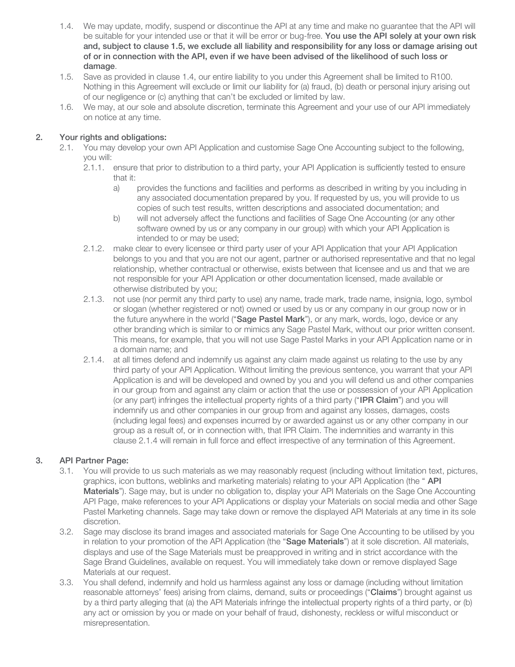- 1.4. We may update, modify, suspend or discontinue the API at any time and make no guarantee that the API will be suitable for your intended use or that it will be error or bug-free. You use the API solely at your own risk and, subject to clause 1.5, we exclude all liability and responsibility for any loss or damage arising out of or in connection with the API, even if we have been advised of the likelihood of such loss or damage.
- 1.5. Save as provided in clause 1.4, our entire liability to you under this Agreement shall be limited to R100. Nothing in this Agreement will exclude or limit our liability for (a) fraud, (b) death or personal injury arising out of our negligence or (c) anything that can't be excluded or limited by law.
- 1.6. We may, at our sole and absolute discretion, terminate this Agreement and your use of our API immediately on notice at any time.

# 2. Your rights and obligations:

- 2.1. You may develop your own API Application and customise Sage One Accounting subject to the following, you will:
	- 2.1.1. ensure that prior to distribution to a third party, your API Application is sufficiently tested to ensure that it:
		- a) provides the functions and facilities and performs as described in writing by you including in any associated documentation prepared by you. If requested by us, you will provide to us copies of such test results, written descriptions and associated documentation; and
		- b) will not adversely affect the functions and facilities of Sage One Accounting (or any other software owned by us or any company in our group) with which your API Application is intended to or may be used;
	- 2.1.2. make clear to every licensee or third party user of your API Application that your API Application belongs to you and that you are not our agent, partner or authorised representative and that no legal relationship, whether contractual or otherwise, exists between that licensee and us and that we are not responsible for your API Application or other documentation licensed, made available or otherwise distributed by you;
	- 2.1.3. not use (nor permit any third party to use) any name, trade mark, trade name, insignia, logo, symbol or slogan (whether registered or not) owned or used by us or any company in our group now or in the future anywhere in the world ("Sage Pastel Mark"), or any mark, words, logo, device or any other branding which is similar to or mimics any Sage Pastel Mark, without our prior written consent. This means, for example, that you will not use Sage Pastel Marks in your API Application name or in a domain name; and
	- 2.1.4. at all times defend and indemnify us against any claim made against us relating to the use by any third party of your API Application. Without limiting the previous sentence, you warrant that your API Application is and will be developed and owned by you and you will defend us and other companies in our group from and against any claim or action that the use or possession of your API Application (or any part) infringes the intellectual property rights of a third party ("IPR Claim") and you will indemnify us and other companies in our group from and against any losses, damages, costs (including legal fees) and expenses incurred by or awarded against us or any other company in our group as a result of, or in connection with, that IPR Claim. The indemnities and warranty in this clause 2.1.4 will remain in full force and effect irrespective of any termination of this Agreement.

## 3. API Partner Page:

- 3.1. You will provide to us such materials as we may reasonably request (including without limitation text, pictures, graphics, icon buttons, weblinks and marketing materials) relating to your API Application (the "API Materials"). Sage may, but is under no obligation to, display your API Materials on the Sage One Accounting API Page, make references to your API Applications or display your Materials on social media and other Sage Pastel Marketing channels. Sage may take down or remove the displayed API Materials at any time in its sole discretion.
- 3.2. Sage may disclose its brand images and associated materials for Sage One Accounting to be utilised by you in relation to your promotion of the API Application (the "Sage Materials") at it sole discretion. All materials, displays and use of the Sage Materials must be preapproved in writing and in strict accordance with the Sage Brand Guidelines, available on request. You will immediately take down or remove displayed Sage Materials at our request.
- 3.3. You shall defend, indemnify and hold us harmless against any loss or damage (including without limitation reasonable attorneys' fees) arising from claims, demand, suits or proceedings ("Claims") brought against us by a third party alleging that (a) the API Materials infringe the intellectual property rights of a third party, or (b) any act or omission by you or made on your behalf of fraud, dishonesty, reckless or wilful misconduct or misrepresentation.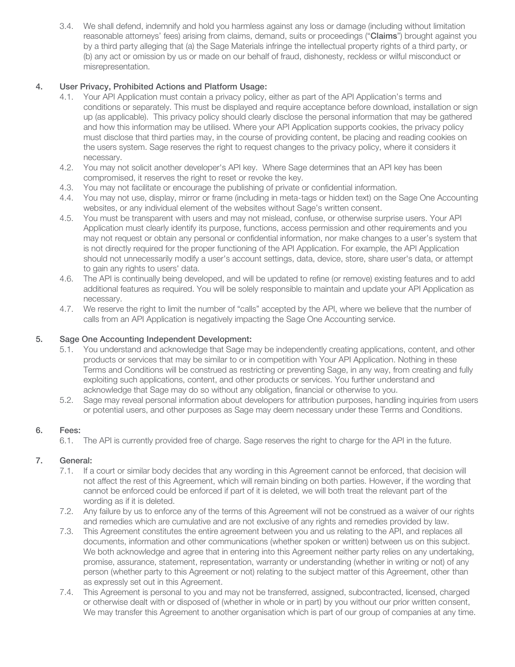3.4. We shall defend, indemnify and hold you harmless against any loss or damage (including without limitation reasonable attorneys' fees) arising from claims, demand, suits or proceedings ("Claims") brought against you by a third party alleging that (a) the Sage Materials infringe the intellectual property rights of a third party, or (b) any act or omission by us or made on our behalf of fraud, dishonesty, reckless or wilful misconduct or misrepresentation.

## 4. User Privacy, Prohibited Actions and Platform Usage:

- 4.1. Your API Application must contain a privacy policy, either as part of the API Application's terms and conditions or separately. This must be displayed and require acceptance before download, installation or sign up (as applicable). This privacy policy should clearly disclose the personal information that may be gathered and how this information may be utilised. Where your API Application supports cookies, the privacy policy must disclose that third parties may, in the course of providing content, be placing and reading cookies on the users system. Sage reserves the right to request changes to the privacy policy, where it considers it necessary.
- 4.2. You may not solicit another developer's API key. Where Sage determines that an API key has been compromised, it reserves the right to reset or revoke the key.
- 4.3. You may not facilitate or encourage the publishing of private or confidential information.
- 4.4. You may not use, display, mirror or frame (including in meta-tags or hidden text) on the Sage One Accounting websites, or any individual element of the websites without Sage's written consent.
- 4.5. You must be transparent with users and may not mislead, confuse, or otherwise surprise users. Your API Application must clearly identify its purpose, functions, access permission and other requirements and you may not request or obtain any personal or confidential information, nor make changes to a user's system that is not directly required for the proper functioning of the API Application. For example, the API Application should not unnecessarily modify a user's account settings, data, device, store, share user's data, or attempt to gain any rights to users' data.
- 4.6. The API is continually being developed, and will be updated to refine (or remove) existing features and to add additional features as required. You will be solely responsible to maintain and update your API Application as necessary.
- 4.7. We reserve the right to limit the number of "calls" accepted by the API, where we believe that the number of calls from an API Application is negatively impacting the Sage One Accounting service.

## 5. Sage One Accounting Independent Development:

- 5.1. You understand and acknowledge that Sage may be independently creating applications, content, and other products or services that may be similar to or in competition with Your API Application. Nothing in these Terms and Conditions will be construed as restricting or preventing Sage, in any way, from creating and fully exploiting such applications, content, and other products or services. You further understand and acknowledge that Sage may do so without any obligation, financial or otherwise to you.
- 5.2. Sage may reveal personal information about developers for attribution purposes, handling inquiries from users or potential users, and other purposes as Sage may deem necessary under these Terms and Conditions.

## 6. Fees:

6.1. The API is currently provided free of charge. Sage reserves the right to charge for the API in the future.

# 7. General:

- 7.1. If a court or similar body decides that any wording in this Agreement cannot be enforced, that decision will not affect the rest of this Agreement, which will remain binding on both parties. However, if the wording that cannot be enforced could be enforced if part of it is deleted, we will both treat the relevant part of the wording as if it is deleted.
- 7.2. Any failure by us to enforce any of the terms of this Agreement will not be construed as a waiver of our rights and remedies which are cumulative and are not exclusive of any rights and remedies provided by law.
- 7.3. This Agreement constitutes the entire agreement between you and us relating to the API, and replaces all documents, information and other communications (whether spoken or written) between us on this subject. We both acknowledge and agree that in entering into this Agreement neither party relies on any undertaking, promise, assurance, statement, representation, warranty or understanding (whether in writing or not) of any person (whether party to this Agreement or not) relating to the subject matter of this Agreement, other than as expressly set out in this Agreement.
- 7.4. This Agreement is personal to you and may not be transferred, assigned, subcontracted, licensed, charged or otherwise dealt with or disposed of (whether in whole or in part) by you without our prior written consent, We may transfer this Agreement to another organisation which is part of our group of companies at any time.